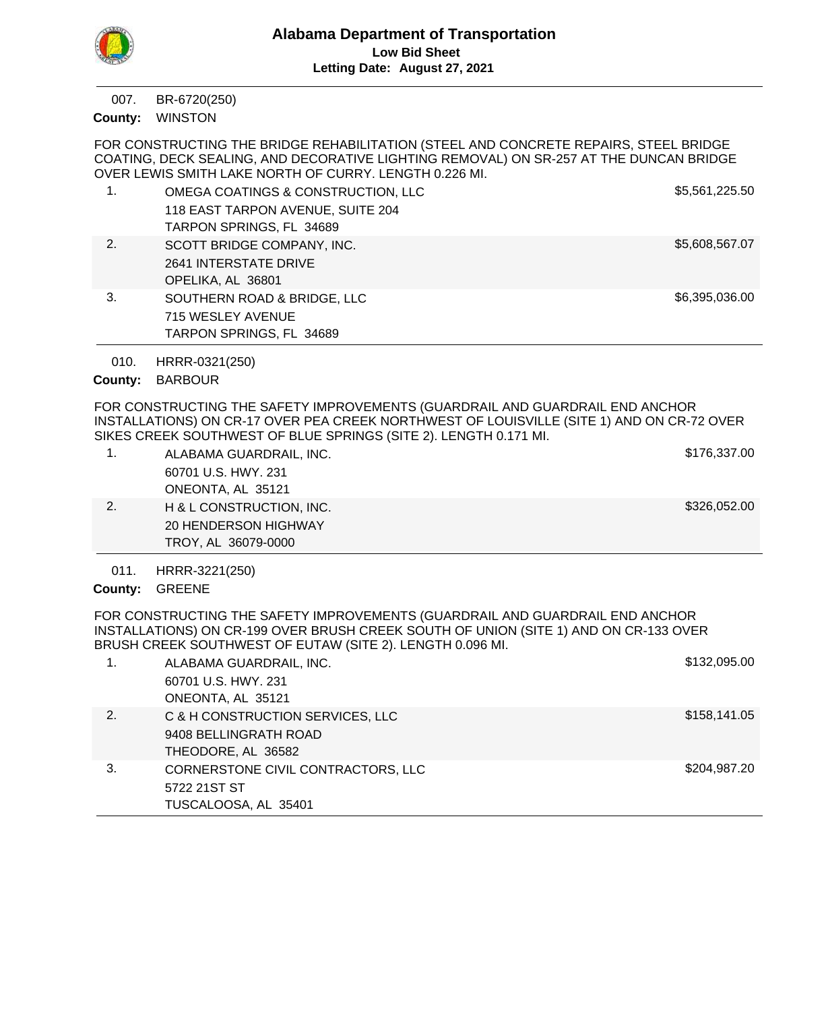

BR-6720(250) 007.

WINSTON **County:**

FOR CONSTRUCTING THE BRIDGE REHABILITATION (STEEL AND CONCRETE REPAIRS, STEEL BRIDGE COATING, DECK SEALING, AND DECORATIVE LIGHTING REMOVAL) ON SR-257 AT THE DUNCAN BRIDGE OVER LEWIS SMITH LAKE NORTH OF CURRY. LENGTH 0.226 MI. 1. OMEGA COATINGS & CONSTRUCTION, LLC \$5,561,225.50

| .   | <u>UMLUA UUATIINUU W UUNUTINUUTIUN. LLU</u> | "              |
|-----|---------------------------------------------|----------------|
|     | 118 EAST TARPON AVENUE, SUITE 204           |                |
|     | TARPON SPRINGS, FL 34689                    |                |
| 2.  | SCOTT BRIDGE COMPANY, INC.                  | \$5,608,567.07 |
|     | 2641 INTERSTATE DRIVE                       |                |
|     | OPELIKA, AL 36801                           |                |
| -3. | SOUTHERN ROAD & BRIDGE, LLC                 | \$6,395,036.00 |
|     | 715 WESLEY AVENUE                           |                |
|     | TARPON SPRINGS, FL 34689                    |                |

HRRR-0321(250) 010.

# County: BARBOUR

FOR CONSTRUCTING THE SAFETY IMPROVEMENTS (GUARDRAIL AND GUARDRAIL END ANCHOR INSTALLATIONS) ON CR-17 OVER PEA CREEK NORTHWEST OF LOUISVILLE (SITE 1) AND ON CR-72 OVER SIKES CREEK SOUTHWEST OF BLUE SPRINGS (SITE 2). LENGTH 0.171 MI.

| ALABAMA GUARDRAIL, INC.     | \$176,337.00 |
|-----------------------------|--------------|
| 60701 U.S. HWY, 231         |              |
| ONEONTA, AL 35121           |              |
| H & L CONSTRUCTION, INC.    | \$326,052.00 |
| <b>20 HENDERSON HIGHWAY</b> |              |
| TROY, AL 36079-0000         |              |

HRRR-3221(250) 011.

County: GREENE

FOR CONSTRUCTING THE SAFETY IMPROVEMENTS (GUARDRAIL AND GUARDRAIL END ANCHOR INSTALLATIONS) ON CR-199 OVER BRUSH CREEK SOUTH OF UNION (SITE 1) AND ON CR-133 OVER BRUSH CREEK SOUTHWEST OF EUTAW (SITE 2). LENGTH 0.096 MI.

| 1. | ALABAMA GUARDRAIL, INC.            | \$132,095.00 |
|----|------------------------------------|--------------|
|    | 60701 U.S. HWY, 231                |              |
|    | ONEONTA, AL 35121                  |              |
| 2. | C & H CONSTRUCTION SERVICES, LLC   | \$158,141.05 |
|    | 9408 BELLINGRATH ROAD              |              |
|    | THEODORE, AL 36582                 |              |
| 3. | CORNERSTONE CIVIL CONTRACTORS, LLC | \$204,987.20 |
|    | 5722 21ST ST                       |              |
|    | TUSCALOOSA, AL 35401               |              |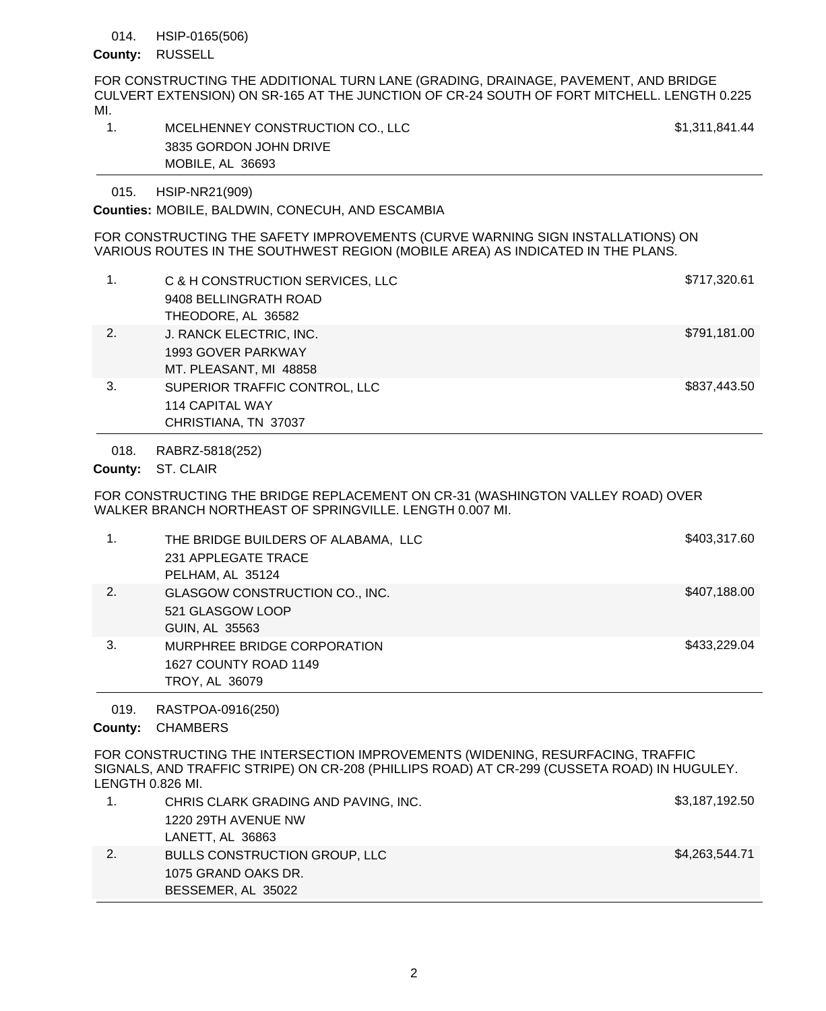#### HSIP-0165(506) 014.

## County: RUSSELL

FOR CONSTRUCTING THE ADDITIONAL TURN LANE (GRADING, DRAINAGE, PAVEMENT, AND BRIDGE CULVERT EXTENSION) ON SR-165 AT THE JUNCTION OF CR-24 SOUTH OF FORT MITCHELL. LENGTH 0.225 MI.

| MCELHENNEY CONSTRUCTION CO., LLC | \$1,311,841.44 |
|----------------------------------|----------------|
| 3835 GORDON JOHN DRIVE           |                |
| MOBILE, AL 36693                 |                |

HSIP-NR21(909) 015.

**Counties: MOBILE, BALDWIN, CONECUH, AND ESCAMBIA** 

FOR CONSTRUCTING THE SAFETY IMPROVEMENTS (CURVE WARNING SIGN INSTALLATIONS) ON VARIOUS ROUTES IN THE SOUTHWEST REGION (MOBILE AREA) AS INDICATED IN THE PLANS.

|    | C & H CONSTRUCTION SERVICES, LLC<br>9408 BELLINGRATH ROAD<br>THEODORE, AL 36582 | \$717,320.61 |
|----|---------------------------------------------------------------------------------|--------------|
| 2. | J. RANCK ELECTRIC, INC.<br>1993 GOVER PARKWAY<br>MT. PLEASANT, MI 48858         | \$791,181.00 |
| 3. | SUPERIOR TRAFFIC CONTROL, LLC<br><b>114 CAPITAL WAY</b><br>CHRISTIANA, TN 37037 | \$837,443.50 |

RABRZ-5818(252) 018.

County: ST. CLAIR

FOR CONSTRUCTING THE BRIDGE REPLACEMENT ON CR-31 (WASHINGTON VALLEY ROAD) OVER WALKER BRANCH NORTHEAST OF SPRINGVILLE. LENGTH 0.007 MI.

|    | THE BRIDGE BUILDERS OF ALABAMA, LLC<br>231 APPLEGATE TRACE<br>PELHAM, AL 35124 | \$403,317.60 |
|----|--------------------------------------------------------------------------------|--------------|
| 2. | GLASGOW CONSTRUCTION CO., INC.<br>521 GLASGOW LOOP<br>GUIN, AL 35563           | \$407,188.00 |
| 3. | MURPHREE BRIDGE CORPORATION<br>1627 COUNTY ROAD 1149<br>TROY, AL 36079         | \$433,229.04 |

RASTPOA-0916(250) 019.

County: CHAMBERS

FOR CONSTRUCTING THE INTERSECTION IMPROVEMENTS (WIDENING, RESURFACING, TRAFFIC SIGNALS, AND TRAFFIC STRIPE) ON CR-208 (PHILLIPS ROAD) AT CR-299 (CUSSETA ROAD) IN HUGULEY. LENGTH 0.826 MI.

| CHRIS CLARK GRADING AND PAVING, INC. | \$3,187,192.50 |
|--------------------------------------|----------------|
| 1220 29TH AVENUE NW                  |                |
| LANETT, AL 36863                     |                |
| <b>BULLS CONSTRUCTION GROUP, LLC</b> | \$4,263,544.71 |
| 1075 GRAND OAKS DR.                  |                |
| BESSEMER, AL 35022                   |                |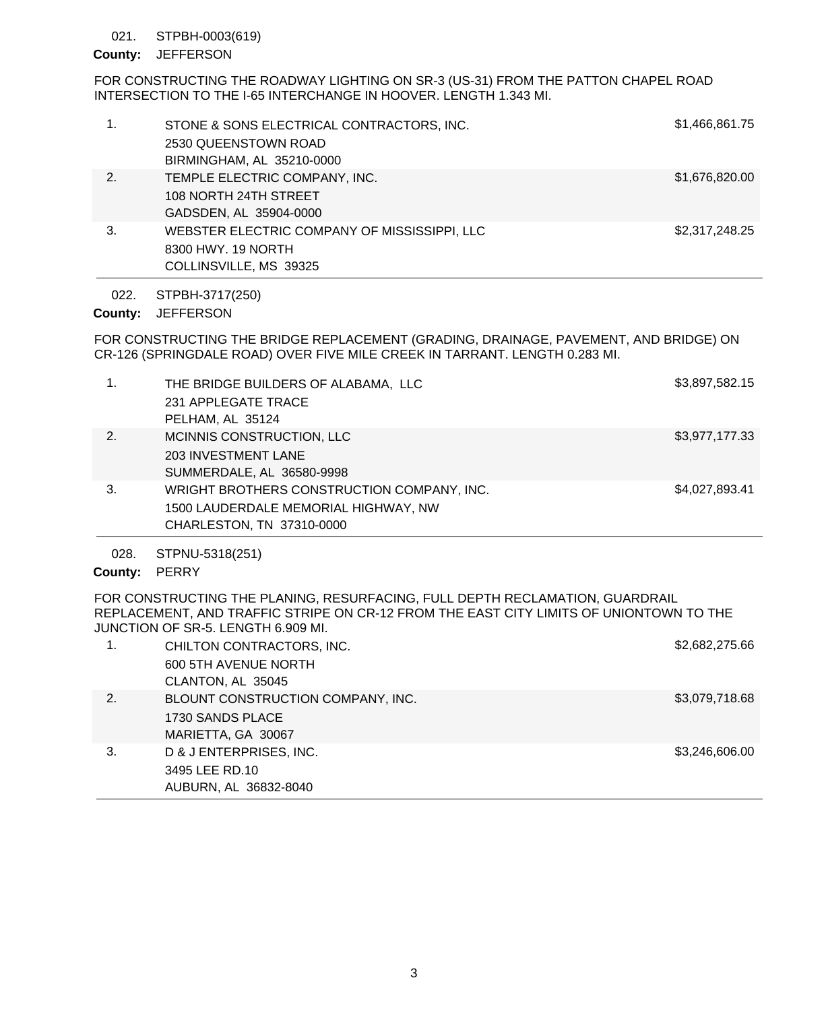#### STPBH-0003(619) 021.

## County: JEFFERSON

FOR CONSTRUCTING THE ROADWAY LIGHTING ON SR-3 (US-31) FROM THE PATTON CHAPEL ROAD INTERSECTION TO THE I-65 INTERCHANGE IN HOOVER. LENGTH 1.343 MI.

|    | STONE & SONS ELECTRICAL CONTRACTORS, INC.<br>2530 QUEENSTOWN ROAD<br>BIRMINGHAM, AL 35210-0000 | \$1,466,861.75 |
|----|------------------------------------------------------------------------------------------------|----------------|
| 2. | TEMPLE ELECTRIC COMPANY, INC.<br>108 NORTH 24TH STREET<br>GADSDEN, AL 35904-0000               | \$1,676,820.00 |
| 3. | WEBSTER ELECTRIC COMPANY OF MISSISSIPPI, LLC<br>8300 HWY, 19 NORTH<br>COLLINSVILLE, MS 39325   | \$2,317,248.25 |

STPBH-3717(250) 022.

#### County: JEFFERSON

FOR CONSTRUCTING THE BRIDGE REPLACEMENT (GRADING, DRAINAGE, PAVEMENT, AND BRIDGE) ON CR-126 (SPRINGDALE ROAD) OVER FIVE MILE CREEK IN TARRANT. LENGTH 0.283 MI.

| 1. | THE BRIDGE BUILDERS OF ALABAMA, LLC<br>231 APPLEGATE TRACE<br>PELHAM, AL 35124                                  | \$3,897,582.15 |
|----|-----------------------------------------------------------------------------------------------------------------|----------------|
| 2. | MCINNIS CONSTRUCTION, LLC<br><b>203 INVESTMENT LANE</b><br>SUMMERDALE, AL 36580-9998                            | \$3,977,177.33 |
| 3. | WRIGHT BROTHERS CONSTRUCTION COMPANY, INC.<br>1500 LAUDERDALE MEMORIAL HIGHWAY, NW<br>CHARLESTON, TN 37310-0000 | \$4,027,893.41 |

STPNU-5318(251) 028.

# County: PERRY

FOR CONSTRUCTING THE PLANING, RESURFACING, FULL DEPTH RECLAMATION, GUARDRAIL REPLACEMENT, AND TRAFFIC STRIPE ON CR-12 FROM THE EAST CITY LIMITS OF UNIONTOWN TO THE JUNCTION OF SR-5. LENGTH 6.909 MI.

|    | CHILTON CONTRACTORS, INC.<br>600 5TH AVENUE NORTH<br>CLANTON, AL 35045      | \$2,682,275.66 |
|----|-----------------------------------------------------------------------------|----------------|
| 2. | BLOUNT CONSTRUCTION COMPANY, INC.<br>1730 SANDS PLACE<br>MARIETTA, GA 30067 | \$3,079,718.68 |
| 3. | D & J ENTERPRISES, INC.<br>3495 LEE RD.10<br>AUBURN, AL 36832-8040          | \$3,246,606.00 |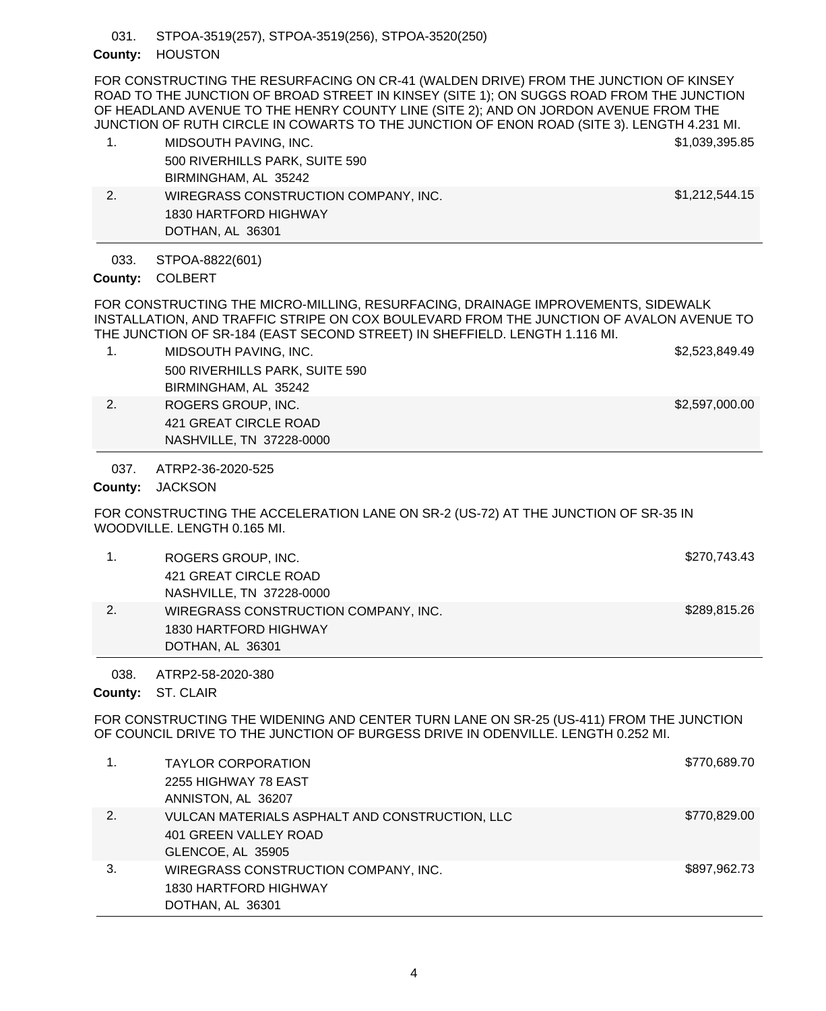STPOA-3519(257), STPOA-3519(256), STPOA-3520(250) 031.

## County: HOUSTON

FOR CONSTRUCTING THE RESURFACING ON CR-41 (WALDEN DRIVE) FROM THE JUNCTION OF KINSEY ROAD TO THE JUNCTION OF BROAD STREET IN KINSEY (SITE 1); ON SUGGS ROAD FROM THE JUNCTION OF HEADLAND AVENUE TO THE HENRY COUNTY LINE (SITE 2); AND ON JORDON AVENUE FROM THE JUNCTION OF RUTH CIRCLE IN COWARTS TO THE JUNCTION OF ENON ROAD (SITE 3). LENGTH 4.231 MI.

- 1. MIDSOUTH PAVING, INC. **\$1,039,395.85** 500 RIVERHILLS PARK, SUITE 590 BIRMINGHAM, AL 35242 2. WIREGRASS CONSTRUCTION COMPANY, INC. \$1,212,544.15
- STPOA-8822(601) 033.

1830 HARTFORD HIGHWAY

DOTHAN, AL 36301

COLBERT **County:**

FOR CONSTRUCTING THE MICRO-MILLING, RESURFACING, DRAINAGE IMPROVEMENTS, SIDEWALK INSTALLATION, AND TRAFFIC STRIPE ON COX BOULEVARD FROM THE JUNCTION OF AVALON AVENUE TO THE JUNCTION OF SR-184 (EAST SECOND STREET) IN SHEFFIELD. LENGTH 1.116 MI.

- 1. MIDSOUTH PAVING, INC. **\$2,523,849.49** 500 RIVERHILLS PARK, SUITE 590 BIRMINGHAM, AL 35242 2. ROGERS GROUP, INC. **\$2,597,000.00** 421 GREAT CIRCLE ROAD
	- NASHVILLE, TN 37228-0000

ATRP2-36-2020-525 037.

County: JACKSON

FOR CONSTRUCTING THE ACCELERATION LANE ON SR-2 (US-72) AT THE JUNCTION OF SR-35 IN WOODVILLE. LENGTH 0.165 MI.

|    | ROGERS GROUP, INC.                   | \$270,743.43 |
|----|--------------------------------------|--------------|
|    | 421 GREAT CIRCLE ROAD                |              |
|    | NASHVILLE, TN 37228-0000             |              |
| 2. | WIREGRASS CONSTRUCTION COMPANY, INC. | \$289,815.26 |
|    | 1830 HARTFORD HIGHWAY                |              |
|    | DOTHAN, AL 36301                     |              |

ATRP2-58-2020-380 038.

County: ST. CLAIR

FOR CONSTRUCTING THE WIDENING AND CENTER TURN LANE ON SR-25 (US-411) FROM THE JUNCTION OF COUNCIL DRIVE TO THE JUNCTION OF BURGESS DRIVE IN ODENVILLE. LENGTH 0.252 MI.

|    | <b>TAYLOR CORPORATION</b>                      | \$770,689.70 |
|----|------------------------------------------------|--------------|
|    | 2255 HIGHWAY 78 EAST                           |              |
|    | ANNISTON, AL 36207                             |              |
| 2. | VULCAN MATERIALS ASPHALT AND CONSTRUCTION, LLC | \$770,829.00 |
|    | 401 GREEN VALLEY ROAD                          |              |
|    | GLENCOE, AL 35905                              |              |
| 3. | WIREGRASS CONSTRUCTION COMPANY, INC.           | \$897,962.73 |
|    | 1830 HARTFORD HIGHWAY                          |              |
|    | DOTHAN, AL 36301                               |              |